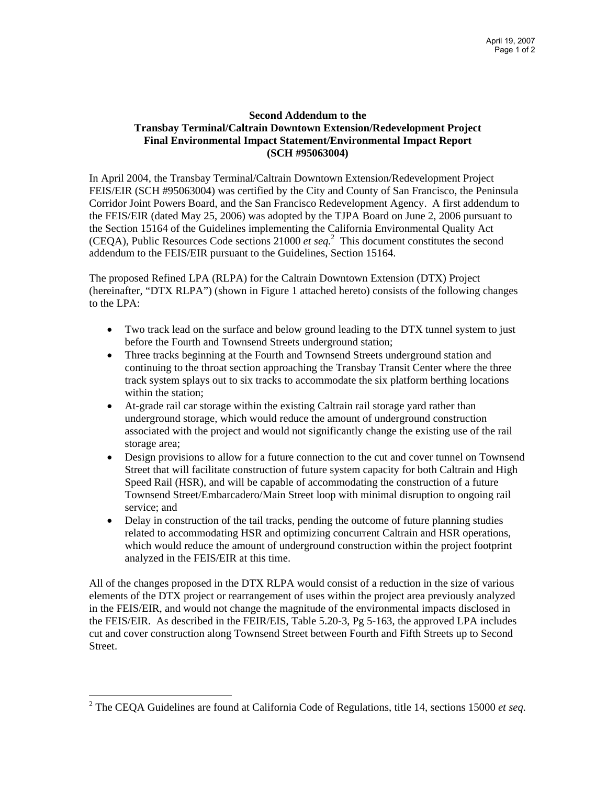## **Second Addendum to the Transbay Terminal/Caltrain Downtown Extension/Redevelopment Project Final Environmental Impact Statement/Environmental Impact Report (SCH #95063004)**

In April 2004, the Transbay Terminal/Caltrain Downtown Extension/Redevelopment Project FEIS/EIR (SCH #95063004) was certified by the City and County of San Francisco, the Peninsula Corridor Joint Powers Board, and the San Francisco Redevelopment Agency. A first addendum to the FEIS/EIR (dated May 25, 2006) was adopted by the TJPA Board on June 2, 2006 pursuant to the Section 15164 of the Guidelines implementing the California Environmental Quality Act (CEQA), Public Resources Code sections 21000 *et seq.*<sup>2</sup> This document constitutes the second addendum to the FEIS/EIR pursuant to the Guidelines, Section 15164.

The proposed Refined LPA (RLPA) for the Caltrain Downtown Extension (DTX) Project (hereinafter, "DTX RLPA") (shown in Figure 1 attached hereto) consists of the following changes to the LPA:

- Two track lead on the surface and below ground leading to the DTX tunnel system to just before the Fourth and Townsend Streets underground station;
- Three tracks beginning at the Fourth and Townsend Streets underground station and continuing to the throat section approaching the Transbay Transit Center where the three track system splays out to six tracks to accommodate the six platform berthing locations within the station;
- At-grade rail car storage within the existing Caltrain rail storage yard rather than underground storage, which would reduce the amount of underground construction associated with the project and would not significantly change the existing use of the rail storage area;
- Design provisions to allow for a future connection to the cut and cover tunnel on Townsend Street that will facilitate construction of future system capacity for both Caltrain and High Speed Rail (HSR), and will be capable of accommodating the construction of a future Townsend Street/Embarcadero/Main Street loop with minimal disruption to ongoing rail service; and
- Delay in construction of the tail tracks, pending the outcome of future planning studies related to accommodating HSR and optimizing concurrent Caltrain and HSR operations, which would reduce the amount of underground construction within the project footprint analyzed in the FEIS/EIR at this time.

All of the changes proposed in the DTX RLPA would consist of a reduction in the size of various elements of the DTX project or rearrangement of uses within the project area previously analyzed in the FEIS/EIR, and would not change the magnitude of the environmental impacts disclosed in the FEIS/EIR. As described in the FEIR/EIS, Table 5.20-3, Pg 5-163, the approved LPA includes cut and cover construction along Townsend Street between Fourth and Fifth Streets up to Second Street.

 $\overline{a}$ 

<sup>2</sup> The CEQA Guidelines are found at California Code of Regulations, title 14, sections 15000 *et seq.*